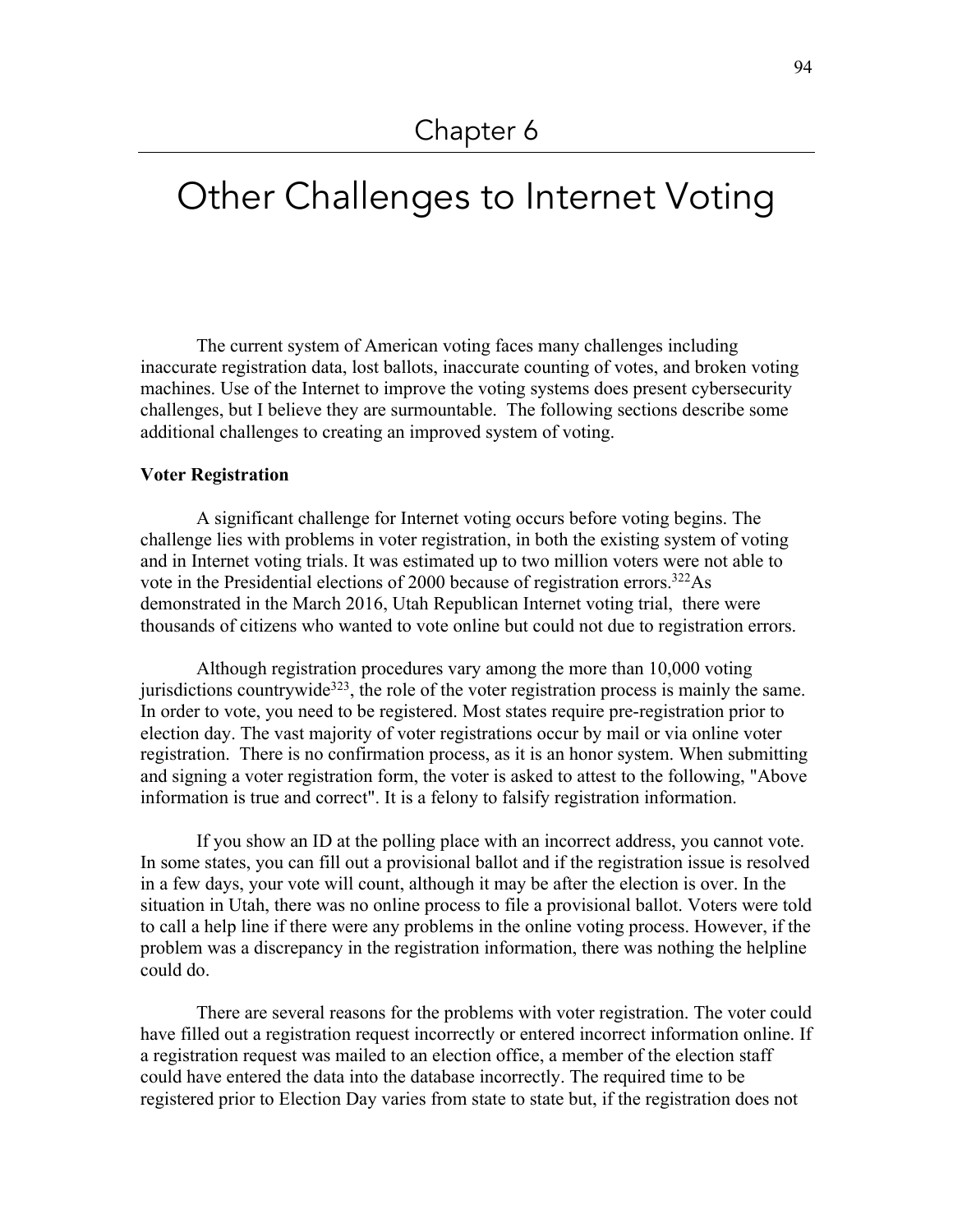# Other Challenges to Internet Voting

The current system of American voting faces many challenges including inaccurate registration data, lost ballots, inaccurate counting of votes, and broken voting machines. Use of the Internet to improve the voting systems does present cybersecurity challenges, but I believe they are surmountable. The following sections describe some additional challenges to creating an improved system of voting.

#### **Voter Registration**

A significant challenge for Internet voting occurs before voting begins. The challenge lies with problems in voter registration, in both the existing system of voting and in Internet voting trials. It was estimated up to two million voters were not able to vote in the Presidential elections of 2000 because of registration errors.<sup>322</sup>As demonstrated in the March 2016, Utah Republican Internet voting trial, there were thousands of citizens who wanted to vote online but could not due to registration errors.

Although registration procedures vary among the more than 10,000 voting jurisdictions countrywide<sup>323</sup>, the role of the voter registration process is mainly the same. In order to vote, you need to be registered. Most states require pre-registration prior to election day. The vast majority of voter registrations occur by mail or via online voter registration. There is no confirmation process, as it is an honor system. When submitting and signing a voter registration form, the voter is asked to attest to the following, "Above information is true and correct". It is a felony to falsify registration information.

If you show an ID at the polling place with an incorrect address, you cannot vote. In some states, you can fill out a provisional ballot and if the registration issue is resolved in a few days, your vote will count, although it may be after the election is over. In the situation in Utah, there was no online process to file a provisional ballot. Voters were told to call a help line if there were any problems in the online voting process. However, if the problem was a discrepancy in the registration information, there was nothing the helpline could do.

There are several reasons for the problems with voter registration. The voter could have filled out a registration request incorrectly or entered incorrect information online. If a registration request was mailed to an election office, a member of the election staff could have entered the data into the database incorrectly. The required time to be registered prior to Election Day varies from state to state but, if the registration does not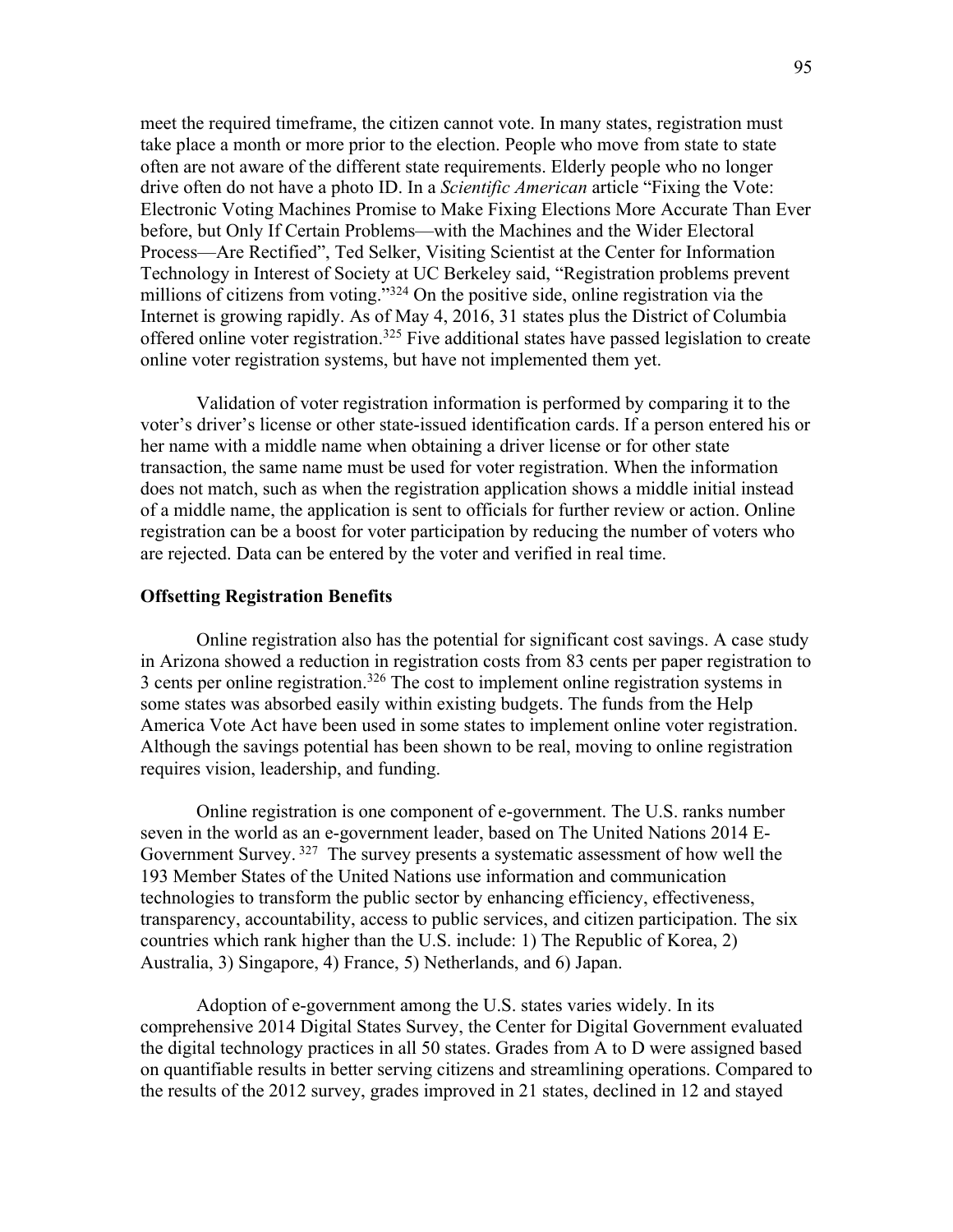meet the required timeframe, the citizen cannot vote. In many states, registration must take place a month or more prior to the election. People who move from state to state often are not aware of the different state requirements. Elderly people who no longer drive often do not have a photo ID. In a *Scientific American* article "Fixing the Vote: Electronic Voting Machines Promise to Make Fixing Elections More Accurate Than Ever before, but Only If Certain Problems—with the Machines and the Wider Electoral Process—Are Rectified", Ted Selker, Visiting Scientist at the Center for Information Technology in Interest of Society at UC Berkeley said, "Registration problems prevent millions of citizens from voting."<sup>324</sup> On the positive side, online registration via the Internet is growing rapidly. As of May 4, 2016, 31 states plus the District of Columbia offered online voter registration.<sup>325</sup> Five additional states have passed legislation to create online voter registration systems, but have not implemented them yet.

Validation of voter registration information is performed by comparing it to the voter's driver's license or other state-issued identification cards. If a person entered his or her name with a middle name when obtaining a driver license or for other state transaction, the same name must be used for voter registration. When the information does not match, such as when the registration application shows a middle initial instead of a middle name, the application is sent to officials for further review or action. Online registration can be a boost for voter participation by reducing the number of voters who are rejected. Data can be entered by the voter and verified in real time.

#### **Offsetting Registration Benefits**

Online registration also has the potential for significant cost savings. A case study in Arizona showed a reduction in registration costs from 83 cents per paper registration to 3 cents per online registration.<sup>326</sup> The cost to implement online registration systems in some states was absorbed easily within existing budgets. The funds from the Help America Vote Act have been used in some states to implement online voter registration. Although the savings potential has been shown to be real, moving to online registration requires vision, leadership, and funding.

Online registration is one component of e-government. The U.S. ranks number seven in the world as an e-government leader, based on The United Nations 2014 E-Government Survey. 327 The survey presents a systematic assessment of how well the 193 Member States of the United Nations use information and communication technologies to transform the public sector by enhancing efficiency, effectiveness, transparency, accountability, access to public services, and citizen participation. The six countries which rank higher than the U.S. include: 1) The Republic of Korea, 2) Australia, 3) Singapore, 4) France, 5) Netherlands, and 6) Japan.

Adoption of e-government among the U.S. states varies widely. In its comprehensive 2014 Digital States Survey, the Center for Digital Government evaluated the digital technology practices in all 50 states. Grades from A to D were assigned based on quantifiable results in better serving citizens and streamlining operations. Compared to the results of the 2012 survey, grades improved in 21 states, declined in 12 and stayed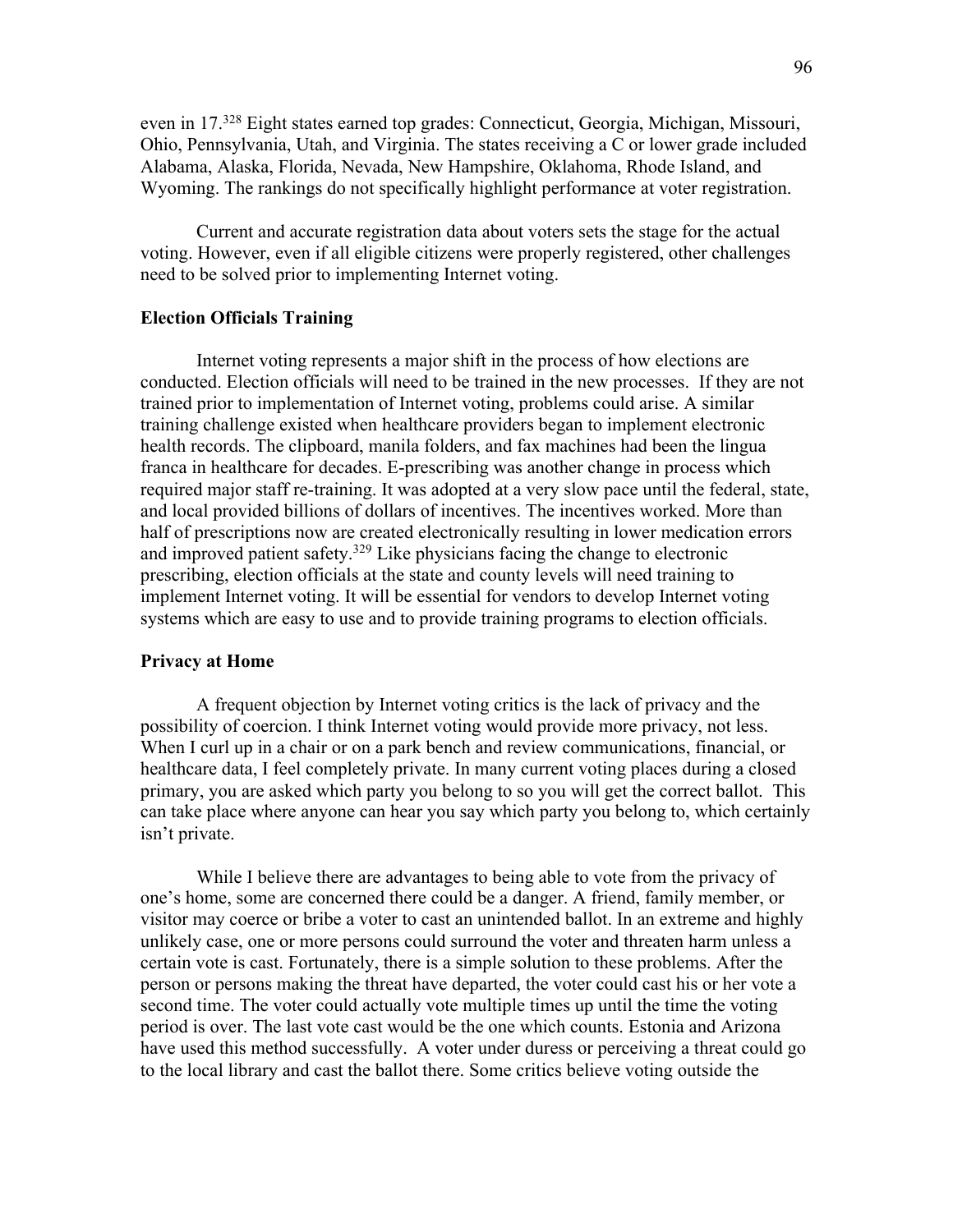even in 17.328 Eight states earned top grades: Connecticut, Georgia, Michigan, Missouri, Ohio, Pennsylvania, Utah, and Virginia. The states receiving a C or lower grade included Alabama, Alaska, Florida, Nevada, New Hampshire, Oklahoma, Rhode Island, and Wyoming. The rankings do not specifically highlight performance at voter registration.

Current and accurate registration data about voters sets the stage for the actual voting. However, even if all eligible citizens were properly registered, other challenges need to be solved prior to implementing Internet voting.

# **Election Officials Training**

Internet voting represents a major shift in the process of how elections are conducted. Election officials will need to be trained in the new processes. If they are not trained prior to implementation of Internet voting, problems could arise. A similar training challenge existed when healthcare providers began to implement electronic health records. The clipboard, manila folders, and fax machines had been the lingua franca in healthcare for decades. E-prescribing was another change in process which required major staff re-training. It was adopted at a very slow pace until the federal, state, and local provided billions of dollars of incentives. The incentives worked. More than half of prescriptions now are created electronically resulting in lower medication errors and improved patient safety.<sup>329</sup> Like physicians facing the change to electronic prescribing, election officials at the state and county levels will need training to implement Internet voting. It will be essential for vendors to develop Internet voting systems which are easy to use and to provide training programs to election officials.

#### **Privacy at Home**

A frequent objection by Internet voting critics is the lack of privacy and the possibility of coercion. I think Internet voting would provide more privacy, not less. When I curl up in a chair or on a park bench and review communications, financial, or healthcare data, I feel completely private. In many current voting places during a closed primary, you are asked which party you belong to so you will get the correct ballot. This can take place where anyone can hear you say which party you belong to, which certainly isn't private.

While I believe there are advantages to being able to vote from the privacy of one's home, some are concerned there could be a danger. A friend, family member, or visitor may coerce or bribe a voter to cast an unintended ballot. In an extreme and highly unlikely case, one or more persons could surround the voter and threaten harm unless a certain vote is cast. Fortunately, there is a simple solution to these problems. After the person or persons making the threat have departed, the voter could cast his or her vote a second time. The voter could actually vote multiple times up until the time the voting period is over. The last vote cast would be the one which counts. Estonia and Arizona have used this method successfully. A voter under duress or perceiving a threat could go to the local library and cast the ballot there. Some critics believe voting outside the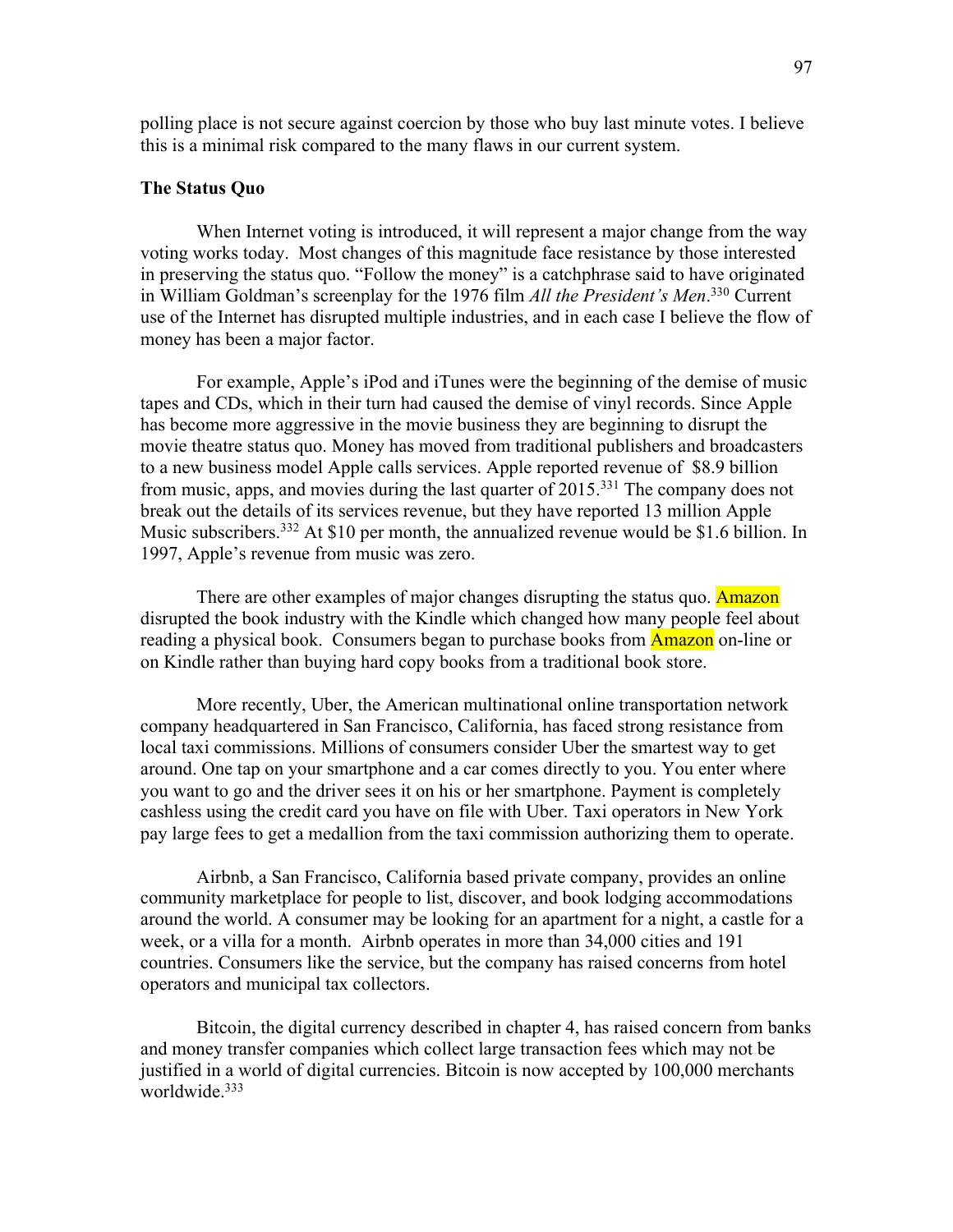polling place is not secure against coercion by those who buy last minute votes. I believe this is a minimal risk compared to the many flaws in our current system.

# **The Status Quo**

When Internet voting is introduced, it will represent a major change from the way voting works today. Most changes of this magnitude face resistance by those interested in preserving the status quo. "Follow the money" is a catchphrase said to have originated in William Goldman's screenplay for the 1976 film *All the President's Men*. <sup>330</sup> Current use of the Internet has disrupted multiple industries, and in each case I believe the flow of money has been a major factor.

For example, Apple's iPod and iTunes were the beginning of the demise of music tapes and CDs, which in their turn had caused the demise of vinyl records. Since Apple has become more aggressive in the movie business they are beginning to disrupt the movie theatre status quo. Money has moved from traditional publishers and broadcasters to a new business model Apple calls services. Apple reported revenue of \$8.9 billion from music, apps, and movies during the last quarter of 2015.331 The company does not break out the details of its services revenue, but they have reported 13 million Apple Music subscribers.<sup>332</sup> At \$10 per month, the annualized revenue would be \$1.6 billion. In 1997, Apple's revenue from music was zero.

There are other examples of major changes disrupting the status quo. **Amazon** disrupted the book industry with the Kindle which changed how many people feel about reading a physical book. Consumers began to purchase books from **Amazon** on-line or on Kindle rather than buying hard copy books from a traditional book store.

More recently, Uber, the American multinational online transportation network company headquartered in San Francisco, California, has faced strong resistance from local taxi commissions. Millions of consumers consider Uber the smartest way to get around. One tap on your smartphone and a car comes directly to you. You enter where you want to go and the driver sees it on his or her smartphone. Payment is completely cashless using the credit card you have on file with Uber. Taxi operators in New York pay large fees to get a medallion from the taxi commission authorizing them to operate.

Airbnb, a San Francisco, California based private company, provides an online community marketplace for people to list, discover, and book lodging accommodations around the world. A consumer may be looking for an apartment for a night, a castle for a week, or a villa for a month. Airbnb operates in more than 34,000 cities and 191 countries. Consumers like the service, but the company has raised concerns from hotel operators and municipal tax collectors.

Bitcoin, the digital currency described in chapter 4, has raised concern from banks and money transfer companies which collect large transaction fees which may not be justified in a world of digital currencies. Bitcoin is now accepted by 100,000 merchants worldwide. 333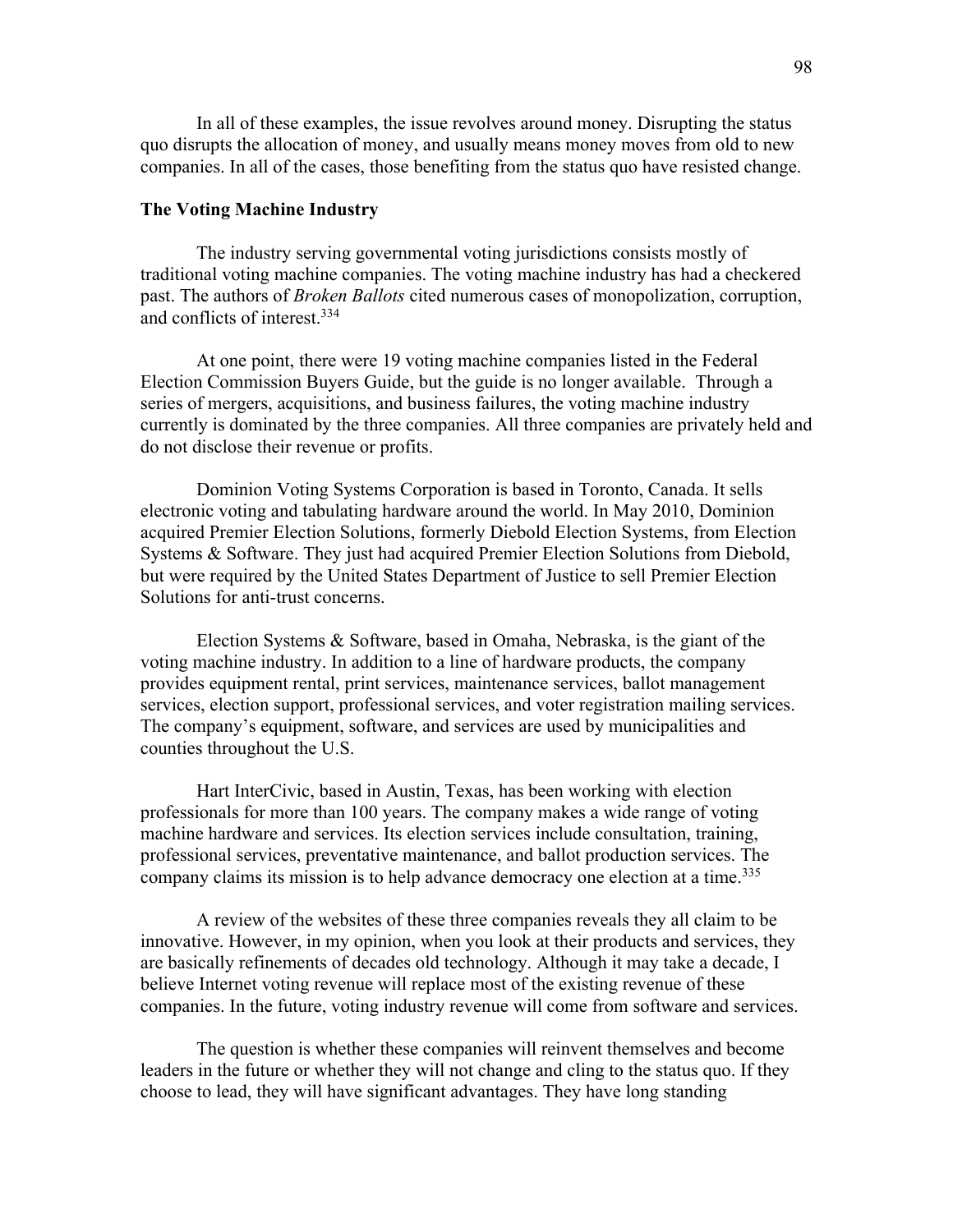In all of these examples, the issue revolves around money. Disrupting the status quo disrupts the allocation of money, and usually means money moves from old to new companies. In all of the cases, those benefiting from the status quo have resisted change.

#### **The Voting Machine Industry**

The industry serving governmental voting jurisdictions consists mostly of traditional voting machine companies. The voting machine industry has had a checkered past. The authors of *Broken Ballots* cited numerous cases of monopolization, corruption, and conflicts of interest.334

At one point, there were 19 voting machine companies listed in the Federal Election Commission Buyers Guide, but the guide is no longer available. Through a series of mergers, acquisitions, and business failures, the voting machine industry currently is dominated by the three companies. All three companies are privately held and do not disclose their revenue or profits.

Dominion Voting Systems Corporation is based in Toronto, Canada. It sells electronic voting and tabulating hardware around the world. In May 2010, Dominion acquired Premier Election Solutions, formerly Diebold Election Systems, from Election Systems & Software. They just had acquired Premier Election Solutions from Diebold, but were required by the United States Department of Justice to sell Premier Election Solutions for anti-trust concerns.

Election Systems & Software, based in Omaha, Nebraska, is the giant of the voting machine industry. In addition to a line of hardware products, the company provides equipment rental, print services, maintenance services, ballot management services, election support, professional services, and voter registration mailing services. The company's equipment, software, and services are used by municipalities and counties throughout the U.S.

Hart InterCivic, based in Austin, Texas, has been working with election professionals for more than 100 years. The company makes a wide range of voting machine hardware and services. Its election services include consultation, training, professional services, preventative maintenance, and ballot production services. The company claims its mission is to help advance democracy one election at a time.<sup>335</sup>

A review of the websites of these three companies reveals they all claim to be innovative. However, in my opinion, when you look at their products and services, they are basically refinements of decades old technology. Although it may take a decade, I believe Internet voting revenue will replace most of the existing revenue of these companies. In the future, voting industry revenue will come from software and services.

The question is whether these companies will reinvent themselves and become leaders in the future or whether they will not change and cling to the status quo. If they choose to lead, they will have significant advantages. They have long standing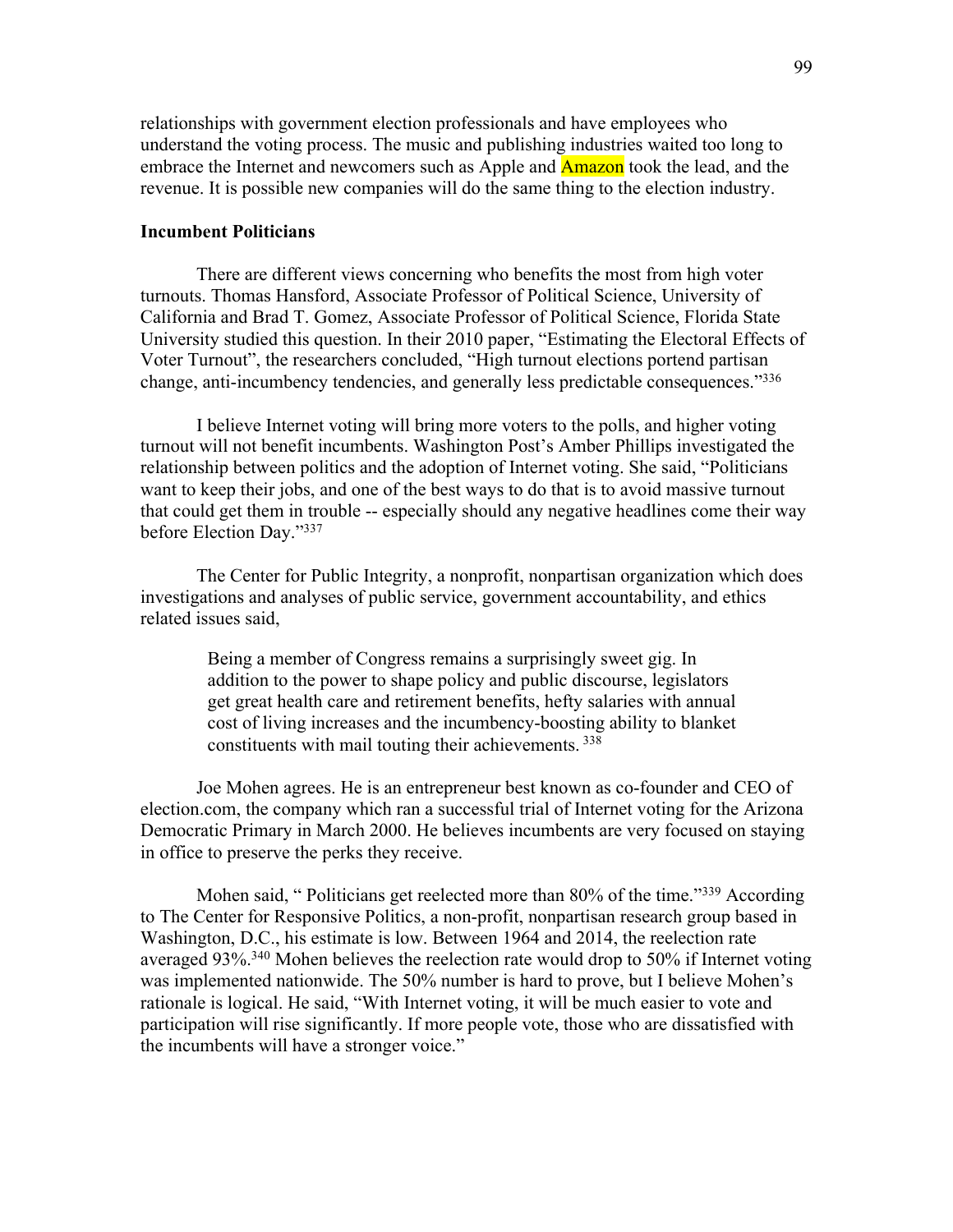relationships with government election professionals and have employees who understand the voting process. The music and publishing industries waited too long to embrace the Internet and newcomers such as Apple and **Amazon** took the lead, and the revenue. It is possible new companies will do the same thing to the election industry.

### **Incumbent Politicians**

There are different views concerning who benefits the most from high voter turnouts. Thomas Hansford, Associate Professor of Political Science, University of California and Brad T. Gomez, Associate Professor of Political Science, Florida State University studied this question. In their 2010 paper, "Estimating the Electoral Effects of Voter Turnout", the researchers concluded, "High turnout elections portend partisan change, anti-incumbency tendencies, and generally less predictable consequences."336

I believe Internet voting will bring more voters to the polls, and higher voting turnout will not benefit incumbents. Washington Post's Amber Phillips investigated the relationship between politics and the adoption of Internet voting. She said, "Politicians want to keep their jobs, and one of the best ways to do that is to avoid massive turnout that could get them in trouble -- especially should any negative headlines come their way before Election Day."337

The Center for Public Integrity, a nonprofit, nonpartisan organization which does investigations and analyses of public service, government accountability, and ethics related issues said,

Being a member of Congress remains a surprisingly sweet gig. In addition to the power to shape policy and public discourse, legislators get great health care and retirement benefits, hefty salaries with annual cost of living increases and the incumbency-boosting ability to blanket constituents with mail touting their achievements. <sup>338</sup>

Joe Mohen agrees. He is an entrepreneur best known as co-founder and CEO of election.com, the company which ran a successful trial of Internet voting for the Arizona Democratic Primary in March 2000. He believes incumbents are very focused on staying in office to preserve the perks they receive.

Mohen said, "Politicians get reelected more than 80% of the time."<sup>339</sup> According to The Center for Responsive Politics, a non-profit, nonpartisan research group based in Washington, D.C., his estimate is low. Between 1964 and 2014, the reelection rate averaged 93%.<sup>340</sup> Mohen believes the reelection rate would drop to 50% if Internet voting was implemented nationwide. The 50% number is hard to prove, but I believe Mohen's rationale is logical. He said, "With Internet voting, it will be much easier to vote and participation will rise significantly. If more people vote, those who are dissatisfied with the incumbents will have a stronger voice."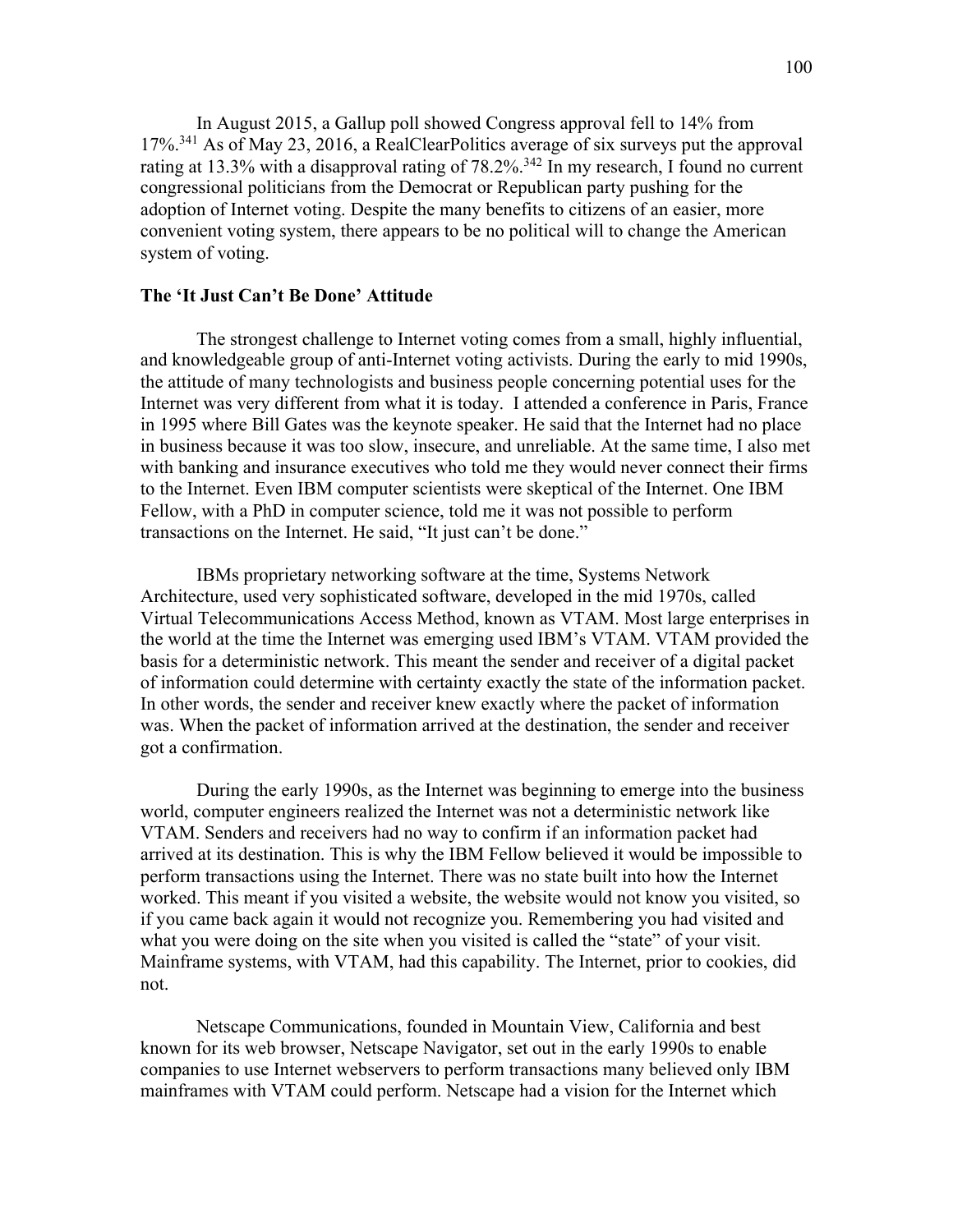In August 2015, a Gallup poll showed Congress approval fell to 14% from 17%. <sup>341</sup> As of May 23, 2016, a RealClearPolitics average of six surveys put the approval rating at 13.3% with a disapproval rating of  $78.2\%$ .<sup>342</sup> In my research, I found no current congressional politicians from the Democrat or Republican party pushing for the adoption of Internet voting. Despite the many benefits to citizens of an easier, more convenient voting system, there appears to be no political will to change the American system of voting.

# **The 'It Just Can't Be Done' Attitude**

The strongest challenge to Internet voting comes from a small, highly influential, and knowledgeable group of anti-Internet voting activists. During the early to mid 1990s, the attitude of many technologists and business people concerning potential uses for the Internet was very different from what it is today. I attended a conference in Paris, France in 1995 where Bill Gates was the keynote speaker. He said that the Internet had no place in business because it was too slow, insecure, and unreliable. At the same time, I also met with banking and insurance executives who told me they would never connect their firms to the Internet. Even IBM computer scientists were skeptical of the Internet. One IBM Fellow, with a PhD in computer science, told me it was not possible to perform transactions on the Internet. He said, "It just can't be done."

IBMs proprietary networking software at the time, Systems Network Architecture, used very sophisticated software, developed in the mid 1970s, called Virtual Telecommunications Access Method, known as VTAM. Most large enterprises in the world at the time the Internet was emerging used IBM's VTAM. VTAM provided the basis for a deterministic network. This meant the sender and receiver of a digital packet of information could determine with certainty exactly the state of the information packet. In other words, the sender and receiver knew exactly where the packet of information was. When the packet of information arrived at the destination, the sender and receiver got a confirmation.

During the early 1990s, as the Internet was beginning to emerge into the business world, computer engineers realized the Internet was not a deterministic network like VTAM. Senders and receivers had no way to confirm if an information packet had arrived at its destination. This is why the IBM Fellow believed it would be impossible to perform transactions using the Internet. There was no state built into how the Internet worked. This meant if you visited a website, the website would not know you visited, so if you came back again it would not recognize you. Remembering you had visited and what you were doing on the site when you visited is called the "state" of your visit. Mainframe systems, with VTAM, had this capability. The Internet, prior to cookies, did not.

Netscape Communications, founded in Mountain View, California and best known for its web browser, Netscape Navigator, set out in the early 1990s to enable companies to use Internet webservers to perform transactions many believed only IBM mainframes with VTAM could perform. Netscape had a vision for the Internet which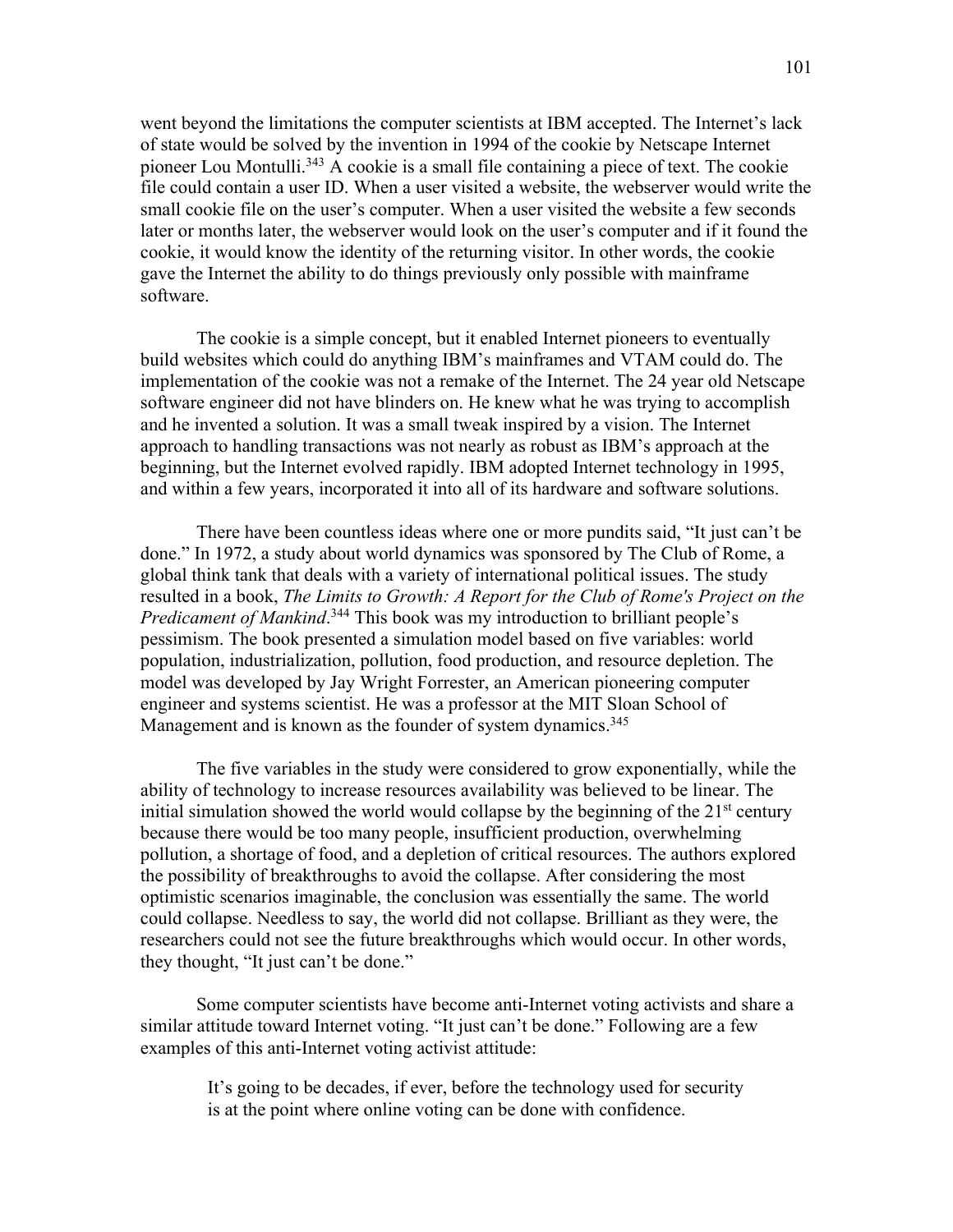went beyond the limitations the computer scientists at IBM accepted. The Internet's lack of state would be solved by the invention in 1994 of the cookie by Netscape Internet pioneer Lou Montulli.<sup>343</sup> A cookie is a small file containing a piece of text. The cookie file could contain a user ID. When a user visited a website, the webserver would write the small cookie file on the user's computer. When a user visited the website a few seconds later or months later, the webserver would look on the user's computer and if it found the cookie, it would know the identity of the returning visitor. In other words, the cookie gave the Internet the ability to do things previously only possible with mainframe software.

The cookie is a simple concept, but it enabled Internet pioneers to eventually build websites which could do anything IBM's mainframes and VTAM could do. The implementation of the cookie was not a remake of the Internet. The 24 year old Netscape software engineer did not have blinders on. He knew what he was trying to accomplish and he invented a solution. It was a small tweak inspired by a vision. The Internet approach to handling transactions was not nearly as robust as IBM's approach at the beginning, but the Internet evolved rapidly. IBM adopted Internet technology in 1995, and within a few years, incorporated it into all of its hardware and software solutions.

There have been countless ideas where one or more pundits said, "It just can't be done." In 1972, a study about world dynamics was sponsored by The Club of Rome, a global think tank that deals with a variety of international political issues. The study resulted in a book, *The Limits to Growth: A Report for the Club of Rome's Project on the Predicament of Mankind*. <sup>344</sup> This book was my introduction to brilliant people's pessimism. The book presented a simulation model based on five variables: world population, industrialization, pollution, food production, and resource depletion. The model was developed by Jay Wright Forrester, an American pioneering computer engineer and systems scientist. He was a professor at the MIT Sloan School of Management and is known as the founder of system dynamics.<sup>345</sup>

The five variables in the study were considered to grow exponentially, while the ability of technology to increase resources availability was believed to be linear. The initial simulation showed the world would collapse by the beginning of the  $21<sup>st</sup>$  century because there would be too many people, insufficient production, overwhelming pollution, a shortage of food, and a depletion of critical resources. The authors explored the possibility of breakthroughs to avoid the collapse. After considering the most optimistic scenarios imaginable, the conclusion was essentially the same. The world could collapse. Needless to say, the world did not collapse. Brilliant as they were, the researchers could not see the future breakthroughs which would occur. In other words, they thought, "It just can't be done."

Some computer scientists have become anti-Internet voting activists and share a similar attitude toward Internet voting. "It just can't be done." Following are a few examples of this anti-Internet voting activist attitude:

> It's going to be decades, if ever, before the technology used for security is at the point where online voting can be done with confidence.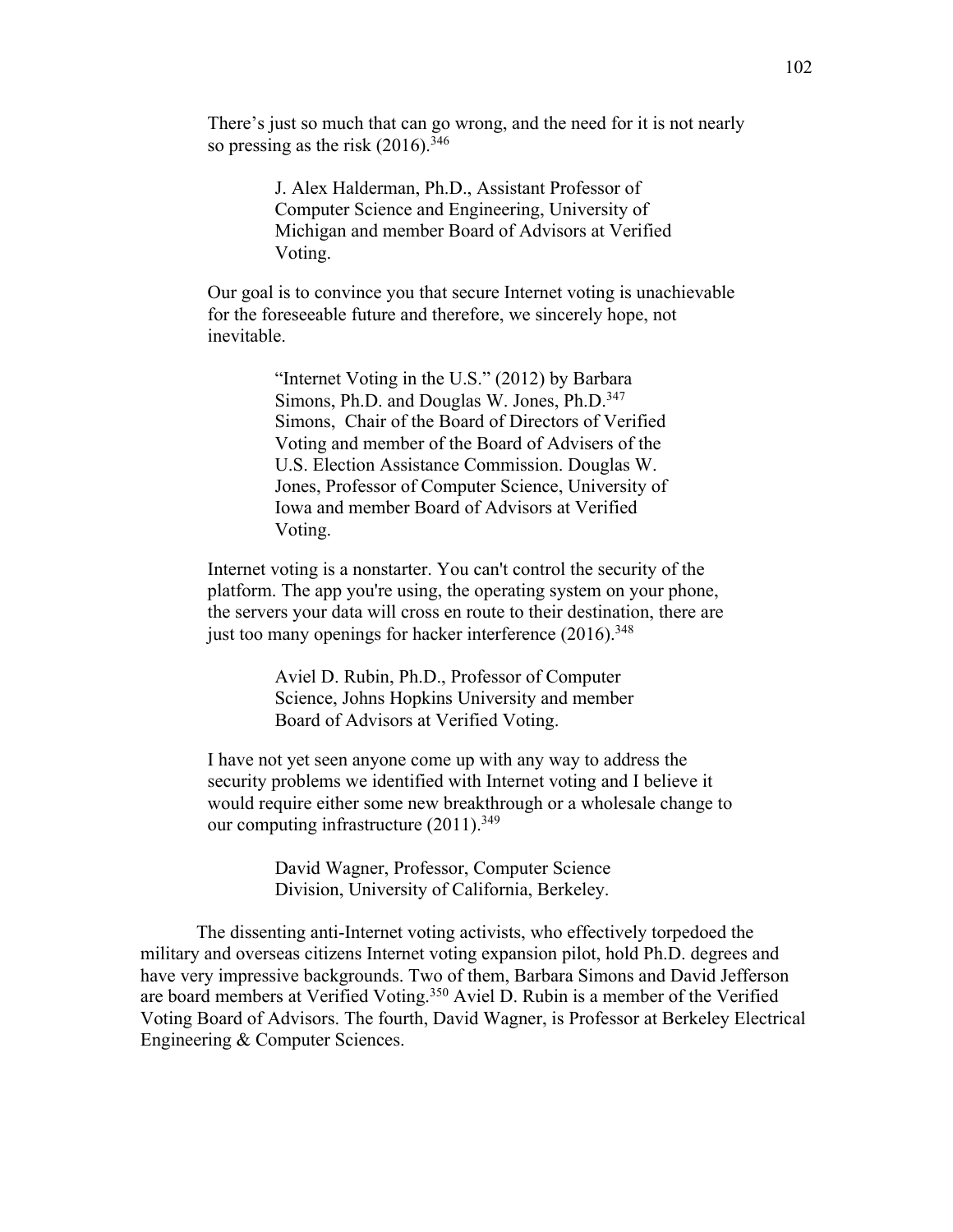There's just so much that can go wrong, and the need for it is not nearly so pressing as the risk  $(2016).^{346}$ 

> J. Alex Halderman, Ph.D., Assistant Professor of Computer Science and Engineering, University of Michigan and member Board of Advisors at Verified Voting.

Our goal is to convince you that secure Internet voting is unachievable for the foreseeable future and therefore, we sincerely hope, not inevitable.

> "Internet Voting in the U.S." (2012) by Barbara Simons, Ph.D. and Douglas W. Jones, Ph.D.<sup>347</sup> Simons, Chair of the Board of Directors of Verified Voting and member of the Board of Advisers of the U.S. Election Assistance Commission. Douglas W. Jones, Professor of Computer Science, University of Iowa and member Board of Advisors at Verified Voting.

Internet voting is a nonstarter. You can't control the security of the platform. The app you're using, the operating system on your phone, the servers your data will cross en route to their destination, there are just too many openings for hacker interference (2016).<sup>348</sup>

> Aviel D. Rubin, Ph.D., Professor of Computer Science, Johns Hopkins University and member Board of Advisors at Verified Voting.

I have not yet seen anyone come up with any way to address the security problems we identified with Internet voting and I believe it would require either some new breakthrough or a wholesale change to our computing infrastructure (2011).<sup>349</sup>

> David Wagner, Professor, Computer Science Division, University of California, Berkeley.

The dissenting anti-Internet voting activists, who effectively torpedoed the military and overseas citizens Internet voting expansion pilot, hold Ph.D. degrees and have very impressive backgrounds. Two of them, Barbara Simons and David Jefferson are board members at Verified Voting.<sup>350</sup> Aviel D. Rubin is a member of the Verified Voting Board of Advisors. The fourth, David Wagner, is Professor at Berkeley Electrical Engineering & Computer Sciences.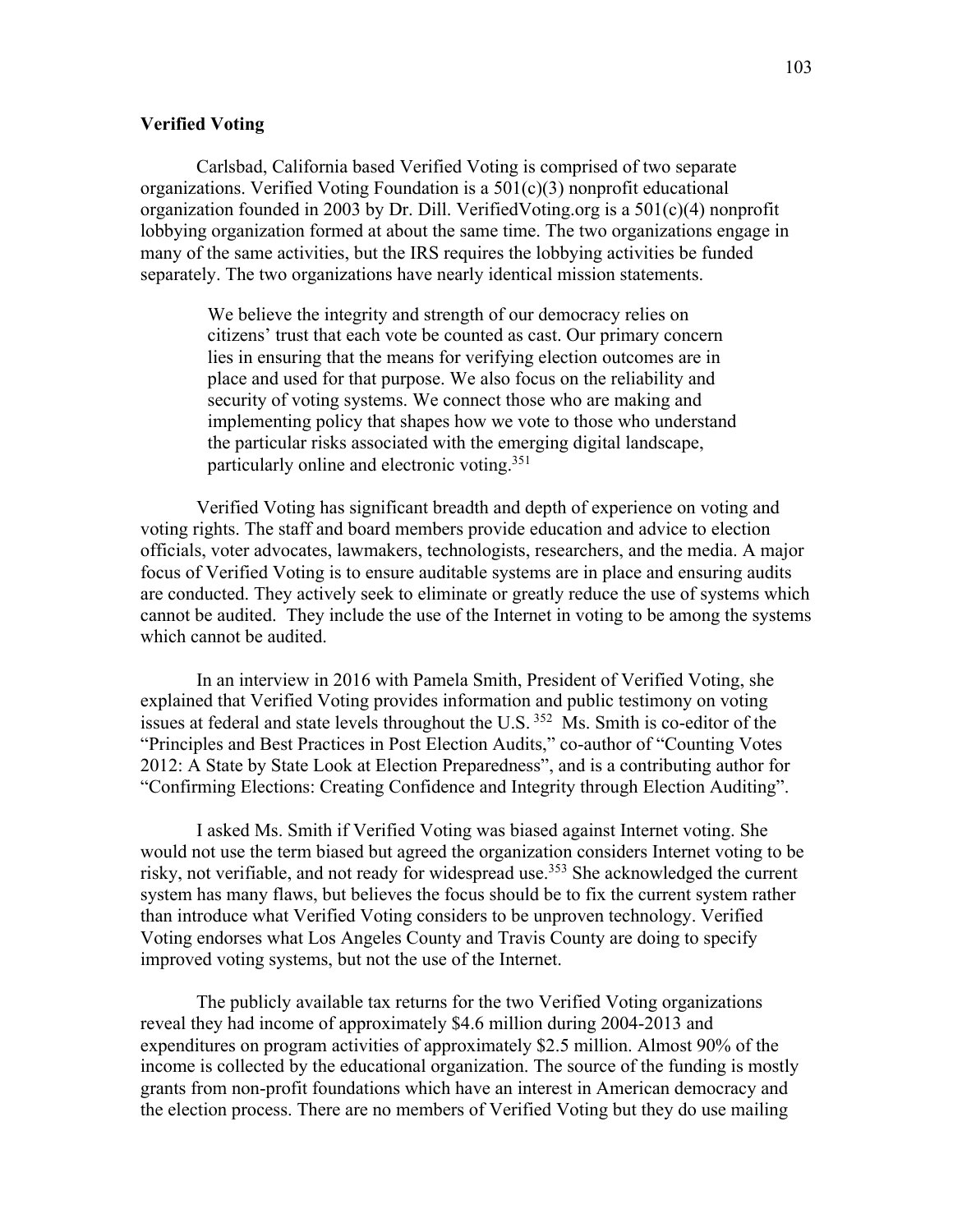#### **Verified Voting**

Carlsbad, California based Verified Voting is comprised of two separate organizations. Verified Voting Foundation is a  $501(c)(3)$  nonprofit educational organization founded in 2003 by Dr. Dill. VerifiedVoting.org is a 501(c)(4) nonprofit lobbying organization formed at about the same time. The two organizations engage in many of the same activities, but the IRS requires the lobbying activities be funded separately. The two organizations have nearly identical mission statements.

> We believe the integrity and strength of our democracy relies on citizens' trust that each vote be counted as cast. Our primary concern lies in ensuring that the means for verifying election outcomes are in place and used for that purpose. We also focus on the reliability and security of voting systems. We connect those who are making and implementing policy that shapes how we vote to those who understand the particular risks associated with the emerging digital landscape, particularly online and electronic voting.351

Verified Voting has significant breadth and depth of experience on voting and voting rights. The staff and board members provide education and advice to election officials, voter advocates, lawmakers, technologists, researchers, and the media. A major focus of Verified Voting is to ensure auditable systems are in place and ensuring audits are conducted. They actively seek to eliminate or greatly reduce the use of systems which cannot be audited. They include the use of the Internet in voting to be among the systems which cannot be audited.

In an interview in 2016 with Pamela Smith, President of Verified Voting, she explained that Verified Voting provides information and public testimony on voting issues at federal and state levels throughout the U.S. <sup>352</sup> Ms. Smith is co-editor of the "Principles and Best Practices in Post Election Audits," co-author of "Counting Votes 2012: A State by State Look at Election Preparedness", and is a contributing author for "Confirming Elections: Creating Confidence and Integrity through Election Auditing".

I asked Ms. Smith if Verified Voting was biased against Internet voting. She would not use the term biased but agreed the organization considers Internet voting to be risky, not verifiable, and not ready for widespread use.<sup>353</sup> She acknowledged the current system has many flaws, but believes the focus should be to fix the current system rather than introduce what Verified Voting considers to be unproven technology. Verified Voting endorses what Los Angeles County and Travis County are doing to specify improved voting systems, but not the use of the Internet.

The publicly available tax returns for the two Verified Voting organizations reveal they had income of approximately \$4.6 million during 2004-2013 and expenditures on program activities of approximately \$2.5 million. Almost 90% of the income is collected by the educational organization. The source of the funding is mostly grants from non-profit foundations which have an interest in American democracy and the election process. There are no members of Verified Voting but they do use mailing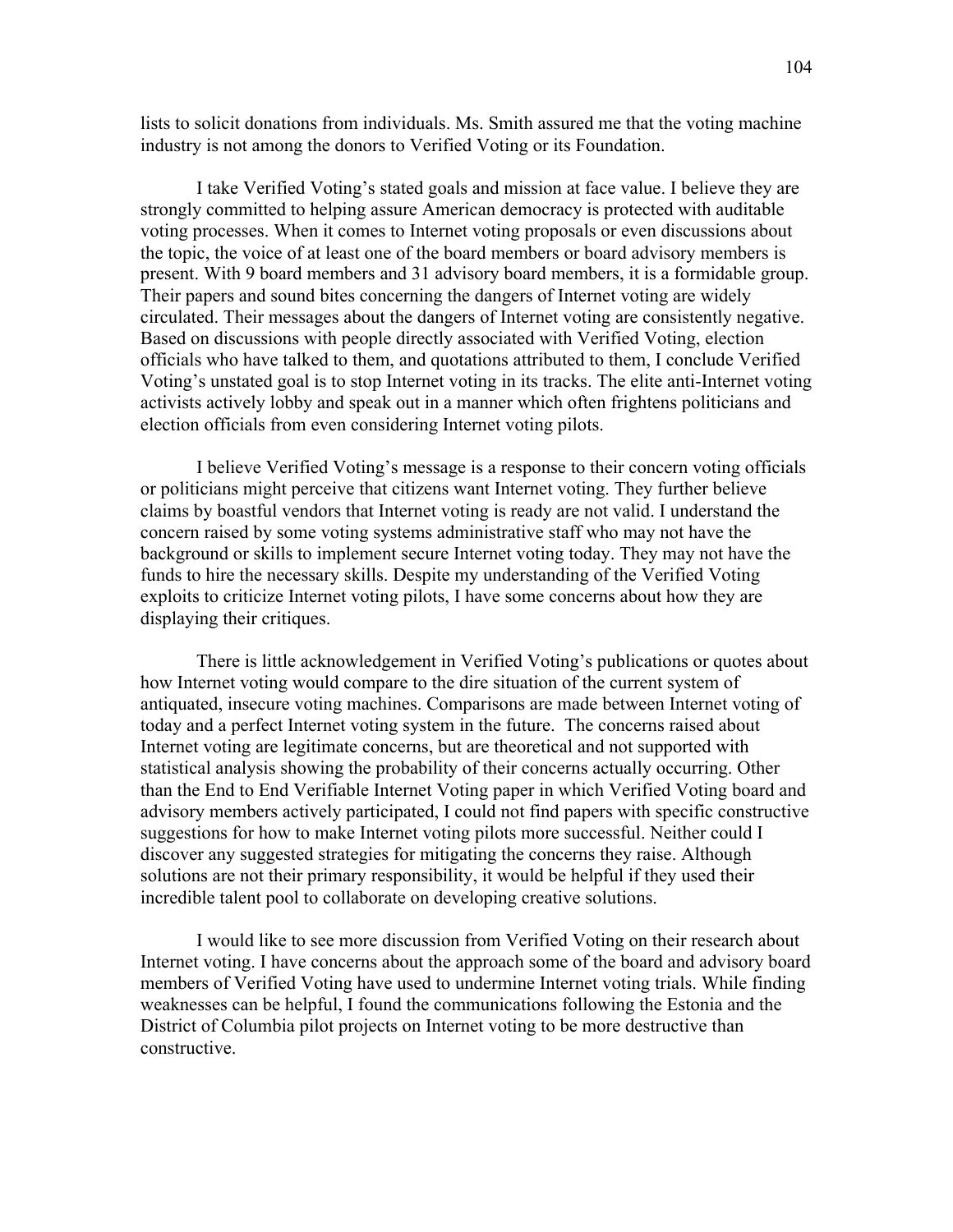lists to solicit donations from individuals. Ms. Smith assured me that the voting machine industry is not among the donors to Verified Voting or its Foundation.

I take Verified Voting's stated goals and mission at face value. I believe they are strongly committed to helping assure American democracy is protected with auditable voting processes. When it comes to Internet voting proposals or even discussions about the topic, the voice of at least one of the board members or board advisory members is present. With 9 board members and 31 advisory board members, it is a formidable group. Their papers and sound bites concerning the dangers of Internet voting are widely circulated. Their messages about the dangers of Internet voting are consistently negative. Based on discussions with people directly associated with Verified Voting, election officials who have talked to them, and quotations attributed to them, I conclude Verified Voting's unstated goal is to stop Internet voting in its tracks. The elite anti-Internet voting activists actively lobby and speak out in a manner which often frightens politicians and election officials from even considering Internet voting pilots.

I believe Verified Voting's message is a response to their concern voting officials or politicians might perceive that citizens want Internet voting. They further believe claims by boastful vendors that Internet voting is ready are not valid. I understand the concern raised by some voting systems administrative staff who may not have the background or skills to implement secure Internet voting today. They may not have the funds to hire the necessary skills. Despite my understanding of the Verified Voting exploits to criticize Internet voting pilots, I have some concerns about how they are displaying their critiques.

There is little acknowledgement in Verified Voting's publications or quotes about how Internet voting would compare to the dire situation of the current system of antiquated, insecure voting machines. Comparisons are made between Internet voting of today and a perfect Internet voting system in the future. The concerns raised about Internet voting are legitimate concerns, but are theoretical and not supported with statistical analysis showing the probability of their concerns actually occurring. Other than the End to End Verifiable Internet Voting paper in which Verified Voting board and advisory members actively participated, I could not find papers with specific constructive suggestions for how to make Internet voting pilots more successful. Neither could I discover any suggested strategies for mitigating the concerns they raise. Although solutions are not their primary responsibility, it would be helpful if they used their incredible talent pool to collaborate on developing creative solutions.

I would like to see more discussion from Verified Voting on their research about Internet voting. I have concerns about the approach some of the board and advisory board members of Verified Voting have used to undermine Internet voting trials. While finding weaknesses can be helpful, I found the communications following the Estonia and the District of Columbia pilot projects on Internet voting to be more destructive than constructive.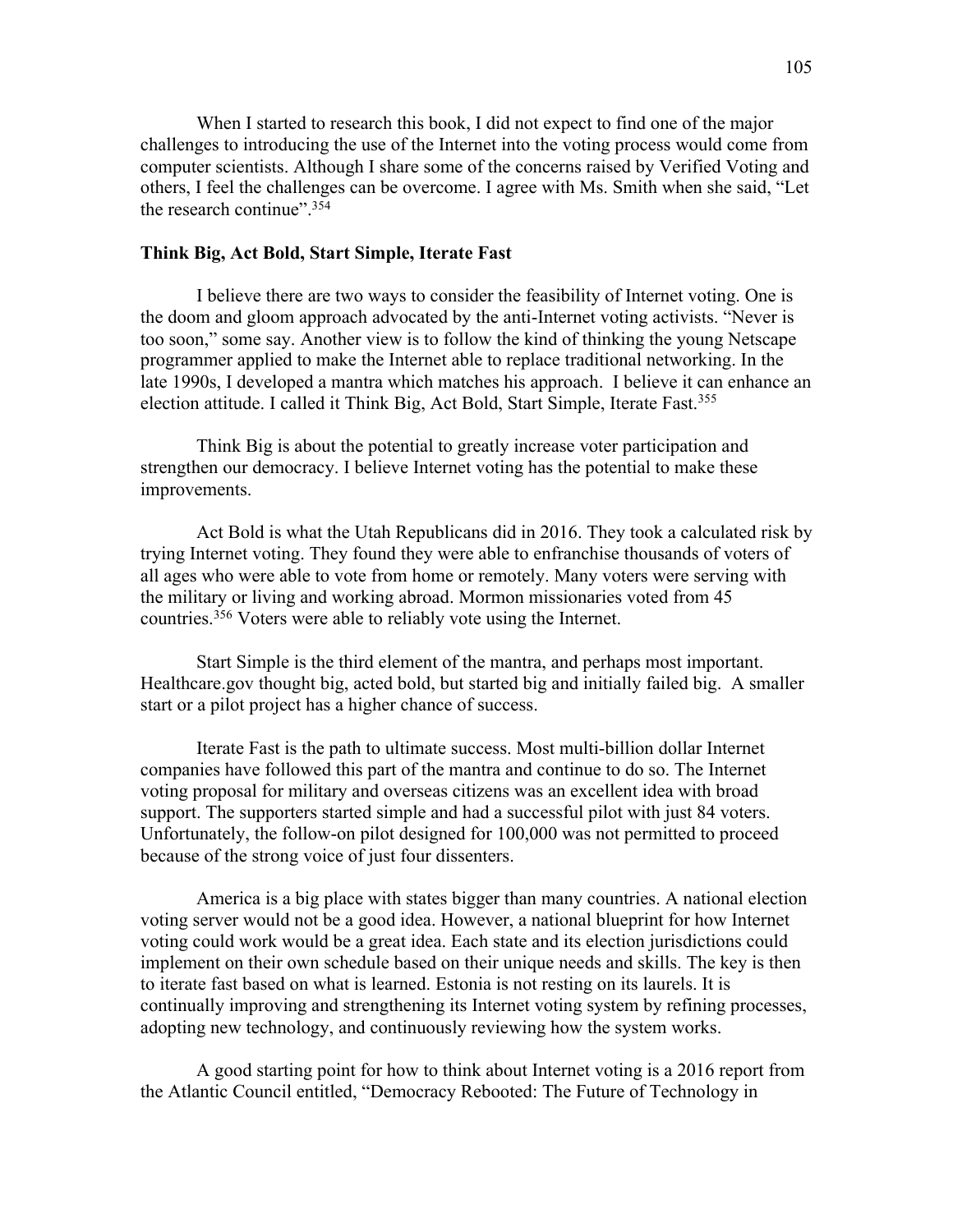When I started to research this book, I did not expect to find one of the major challenges to introducing the use of the Internet into the voting process would come from computer scientists. Although I share some of the concerns raised by Verified Voting and others, I feel the challenges can be overcome. I agree with Ms. Smith when she said, "Let the research continue".<sup>354</sup>

# **Think Big, Act Bold, Start Simple, Iterate Fast**

I believe there are two ways to consider the feasibility of Internet voting. One is the doom and gloom approach advocated by the anti-Internet voting activists. "Never is too soon," some say. Another view is to follow the kind of thinking the young Netscape programmer applied to make the Internet able to replace traditional networking. In the late 1990s, I developed a mantra which matches his approach. I believe it can enhance an election attitude. I called it Think Big, Act Bold, Start Simple, Iterate Fast.<sup>355</sup>

Think Big is about the potential to greatly increase voter participation and strengthen our democracy. I believe Internet voting has the potential to make these improvements.

Act Bold is what the Utah Republicans did in 2016. They took a calculated risk by trying Internet voting. They found they were able to enfranchise thousands of voters of all ages who were able to vote from home or remotely. Many voters were serving with the military or living and working abroad. Mormon missionaries voted from 45 countries.356 Voters were able to reliably vote using the Internet.

Start Simple is the third element of the mantra, and perhaps most important. Healthcare.gov thought big, acted bold, but started big and initially failed big. A smaller start or a pilot project has a higher chance of success.

Iterate Fast is the path to ultimate success. Most multi-billion dollar Internet companies have followed this part of the mantra and continue to do so. The Internet voting proposal for military and overseas citizens was an excellent idea with broad support. The supporters started simple and had a successful pilot with just 84 voters. Unfortunately, the follow-on pilot designed for 100,000 was not permitted to proceed because of the strong voice of just four dissenters.

America is a big place with states bigger than many countries. A national election voting server would not be a good idea. However, a national blueprint for how Internet voting could work would be a great idea. Each state and its election jurisdictions could implement on their own schedule based on their unique needs and skills. The key is then to iterate fast based on what is learned. Estonia is not resting on its laurels. It is continually improving and strengthening its Internet voting system by refining processes, adopting new technology, and continuously reviewing how the system works.

A good starting point for how to think about Internet voting is a 2016 report from the Atlantic Council entitled, "Democracy Rebooted: The Future of Technology in